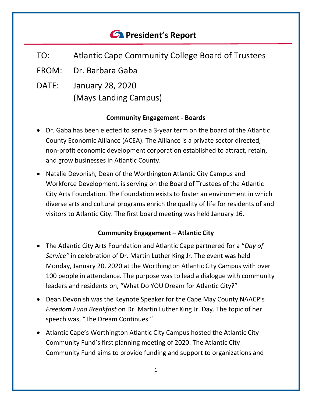# *<u>C* President's Report</u>

- TO: Atlantic Cape Community College Board of Trustees
- FROM: Dr. Barbara Gaba
- DATE: January 28, 2020 (Mays Landing Campus)

# **Community Engagement - Boards**

- Dr. Gaba has been elected to serve a 3-year term on the board of the Atlantic County Economic Alliance (ACEA). The Alliance is a private sector directed, non-profit economic development corporation established to attract, retain, and grow businesses in Atlantic County.
- Natalie Devonish, Dean of the Worthington Atlantic City Campus and Workforce Development, is serving on the Board of Trustees of the Atlantic City Arts Foundation. The Foundation exists to foster an environment in which diverse arts and cultural programs enrich the quality of life for residents of and visitors to Atlantic City. The first board meeting was held January 16.

# **Community Engagement – Atlantic City**

- The Atlantic City Arts Foundation and Atlantic Cape partnered for a "*Day of Service"* in celebration of Dr. Martin Luther King Jr. The event was held Monday, January 20, 2020 at the Worthington Atlantic City Campus with over 100 people in attendance. The purpose was to lead a dialogue with community leaders and residents on, "What Do YOU Dream for Atlantic City?"
- Dean Devonish was the Keynote Speaker for the Cape May County NAACP's *Freedom Fund Breakfast* on Dr. Martin Luther King Jr. Day. The topic of her speech was, "The Dream Continues."
- Atlantic Cape's Worthington Atlantic City Campus hosted the Atlantic City Community Fund's first planning meeting of 2020. The Atlantic City Community Fund aims to provide funding and support to organizations and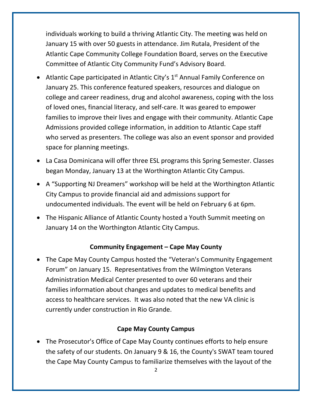individuals working to build a thriving Atlantic City. The meeting was held on January 15 with over 50 guests in attendance. Jim Rutala, President of the Atlantic Cape Community College Foundation Board, serves on the Executive Committee of Atlantic City Community Fund's Advisory Board.

- Atlantic Cape participated in Atlantic City's  $1<sup>st</sup>$  Annual Family Conference on January 25. This conference featured speakers, resources and dialogue on college and career readiness, drug and alcohol awareness, coping with the loss of loved ones, financial literacy, and self-care. It was geared to empower families to improve their lives and engage with their community. Atlantic Cape Admissions provided college information, in addition to Atlantic Cape staff who served as presenters. The college was also an event sponsor and provided space for planning meetings.
- La Casa Dominicana will offer three ESL programs this Spring Semester. Classes began Monday, January 13 at the Worthington Atlantic City Campus.
- A "Supporting NJ Dreamers" workshop will be held at the Worthington Atlantic City Campus to provide financial aid and admissions support for undocumented individuals. The event will be held on February 6 at 6pm.
- The Hispanic Alliance of Atlantic County hosted a Youth Summit meeting on January 14 on the Worthington Atlantic City Campus.

## **Community Engagement – Cape May County**

• The Cape May County Campus hosted the "Veteran's Community Engagement Forum" on January 15. Representatives from the Wilmington Veterans Administration Medical Center presented to over 60 veterans and their families information about changes and updates to medical benefits and access to healthcare services. It was also noted that the new VA clinic is currently under construction in Rio Grande.

#### **Cape May County Campus**

• The Prosecutor's Office of Cape May County continues efforts to help ensure the safety of our students. On January 9 & 16, the County's SWAT team toured the Cape May County Campus to familiarize themselves with the layout of the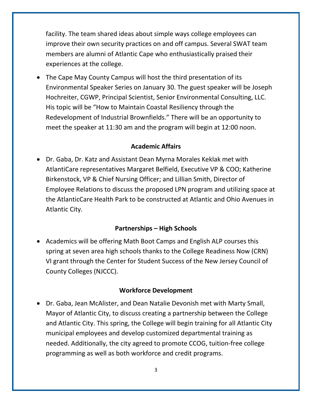facility. The team shared ideas about simple ways college employees can improve their own security practices on and off campus. Several SWAT team members are alumni of Atlantic Cape who enthusiastically praised their experiences at the college.

• The Cape May County Campus will host the third presentation of its Environmental Speaker Series on January 30. The guest speaker will be Joseph Hochreiter, CGWP, Principal Scientist, Senior Environmental Consulting, LLC. His topic will be "How to Maintain Coastal Resiliency through the Redevelopment of Industrial Brownfields." There will be an opportunity to meet the speaker at 11:30 am and the program will begin at 12:00 noon.

## **Academic Affairs**

• Dr. Gaba, Dr. Katz and Assistant Dean Myrna Morales Keklak met with AtlantiCare representatives Margaret Belfield, Executive VP & COO; Katherine Birkenstock, VP & Chief Nursing Officer; and Lillian Smith, Director of Employee Relations to discuss the proposed LPN program and utilizing space at the AtlanticCare Health Park to be constructed at Atlantic and Ohio Avenues in Atlantic City.

# **Partnerships – High Schools**

• Academics will be offering Math Boot Camps and English ALP courses this spring at seven area high schools thanks to the College Readiness Now (CRN) VI grant through the Center for Student Success of the New Jersey Council of County Colleges (NJCCC).

# **Workforce Development**

• Dr. Gaba, Jean McAlister, and Dean Natalie Devonish met with Marty Small, Mayor of Atlantic City, to discuss creating a partnership between the College and Atlantic City. This spring, the College will begin training for all Atlantic City municipal employees and develop customized departmental training as needed. Additionally, the city agreed to promote CCOG, tuition-free college programming as well as both workforce and credit programs.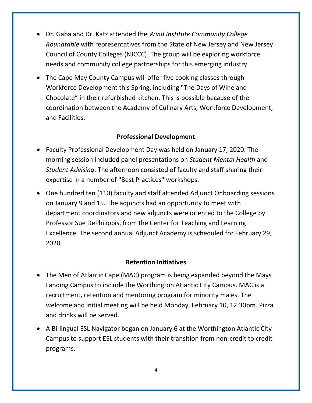- Dr. Gaba and Dr. Katz attended the *Wind Institute Community College Roundtable* with representatives from the State of New Jersey and New Jersey Council of County Colleges (NJCCC). The group will be exploring workforce needs and community college partnerships for this emerging industry.
- The Cape May County Campus will offer five cooking classes through Workforce Development this Spring, including "The Days of Wine and Chocolate" in their refurbished kitchen. This is possible because of the coordination between the Academy of Culinary Arts, Workforce Development, and Facilities.

## **Professional Development**

- Faculty Professional Development Day was held on January 17, 2020. The morning session included panel presentations on *Student Mental Health* and *Student Advising*. The afternoon consisted of faculty and staff sharing their expertise in a number of "Best Practices" workshops.
- One hundred ten (110) faculty and staff attended Adjunct Onboarding sessions on January 9 and 15. The adjuncts had an opportunity to meet with department coordinators and new adjuncts were oriented to the College by Professor Sue DePhilippis, from the Center for Teaching and Learning Excellence. The second annual Adjunct Academy is scheduled for February 29, 2020.

## **Retention Initiatives**

- The Men of Atlantic Cape (MAC) program is being expanded beyond the Mays Landing Campus to include the Worthington Atlantic City Campus. MAC is a recruitment, retention and mentoring program for minority males. The welcome and initial meeting will be held Monday, February 10, 12:30pm. Pizza and drinks will be served.
- A Bi-lingual ESL Navigator began on January 6 at the Worthington Atlantic City Campus to support ESL students with their transition from non-credit to credit programs.